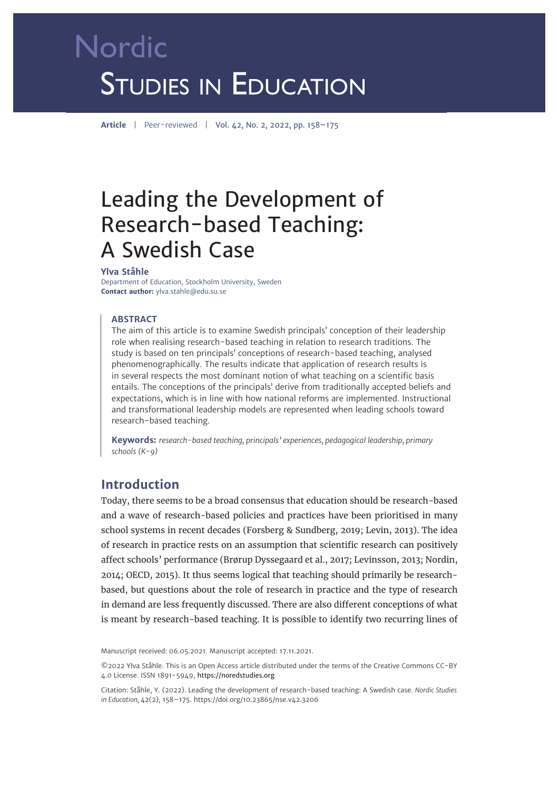# Nordic **STUDIES IN EDUCATION**

**Article** | Peer-reviewed | Vol. 42, No. 2, 2022, pp. 158–175

# Leading the Development of Research-based Teaching: A Swedish Case

#### **Ylva Ståhle**

Department of Education, Stockholm University, Sweden **Contact author:** ylva.stahle@edu.su.se

#### **ABSTRACT**

The aim of this article is to examine Swedish principals' conception of their leadership role when realising research-based teaching in relation to research traditions. The study is based on ten principals' conceptions of research-based teaching, analysed phenomenographically. The results indicate that application of research results is in several respects the most dominant notion of what teaching on a scientific basis entails. The conceptions of the principals' derive from traditionally accepted beliefs and expectations, which is in line with how national reforms are implemented. Instructional and transformational leadership models are represented when leading schools toward research-based teaching.

**Keywords:** *research-based teaching, principals' experiences, pedagogical leadership, primary schools (K-9)* 

# **Introduction**

Today, there seems to be a broad consensus that education should be research-based and a wave of research-based policies and practices have been prioritised in many school systems in recent decades (Forsberg & Sundberg, 2019; Levin, 2013). The idea of research in practice rests on an assumption that scientific research can positively affect schools' performance (Brørup Dyssegaard et al., 2017; Levinsson, 2013; Nordin, 2014; OECD, 2015). It thus seems logical that teaching should primarily be researchbased, but questions about the role of research in practice and the type of research in demand are less frequently discussed. There are also different conceptions of what is meant by research-based teaching. It is possible to identify two recurring lines of

Manuscript received: 06.05.2021. Manuscript accepted: 17.11.2021.

©2022 Ylva Ståhle. This is an Open Access article distributed under the terms of the Creative Commons CC-BY 4.0 License. ISSN 1891-5949, https://noredstudies.org

Citation: Ståhle, Y. (2022). Leading the development of research-based teaching: A Swedish case. *Nordic Studies in Education,* 42(2), 158–175. [https://doi.org/10.23865/nse.v42.3](https://doi.org/10.23865/nse.v42.3206)206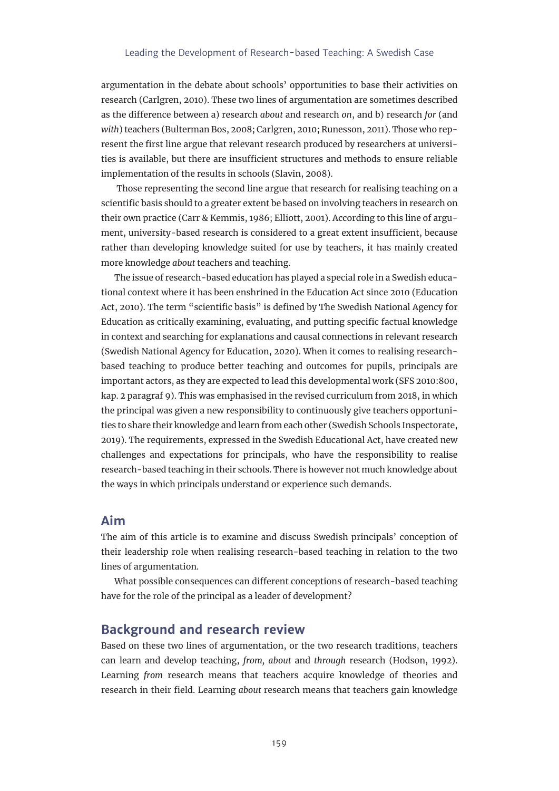argumentation in the debate about schools' opportunities to base their activities on research (Carlgren, 2010). These two lines of argumentation are sometimes described as the difference between a) research *about* and research *on*, and b) research *for* (and *with*) teachers (Bulterman Bos, 2008; Carlgren, 2010; Runesson, 2011). Those who represent the first line argue that relevant research produced by researchers at universities is available, but there are insufficient structures and methods to ensure reliable implementation of the results in schools (Slavin, 2008).

 Those representing the second line argue that research for realising teaching on a scientific basis should to a greater extent be based on involving teachers in research on their own practice (Carr & Kemmis, 1986; Elliott, 2001). According to this line of argument, university-based research is considered to a great extent insufficient, because rather than developing knowledge suited for use by teachers, it has mainly created more knowledge *about* teachers and teaching.

The issue of research-based education has played a special role in a Swedish educational context where it has been enshrined in the Education Act since 2010 (Education Act, 2010). The term "scientific basis" is defined by The Swedish National Agency for Education as critically examining, evaluating, and putting specific factual knowledge in context and searching for explanations and causal connections in relevant research (Swedish National Agency for Education, 2020). When it comes to realising researchbased teaching to produce better teaching and outcomes for pupils, principals are important actors, as they are expected to lead this developmental work (SFS 2010:800, kap. 2 paragraf 9). This was emphasised in the revised curriculum from 2018, in which the principal was given a new responsibility to continuously give teachers opportunities to share their knowledge and learn from each other (Swedish Schools Inspectorate, 2019). The requirements, expressed in the Swedish Educational Act, have created new challenges and expectations for principals, who have the responsibility to realise research-based teaching in their schools. There is however not much knowledge about the ways in which principals understand or experience such demands.

# **Aim**

The aim of this article is to examine and discuss Swedish principals' conception of their leadership role when realising research-based teaching in relation to the two lines of argumentation.

What possible consequences can different conceptions of research-based teaching have for the role of the principal as a leader of development?

# **Background and research review**

Based on these two lines of argumentation, or the two research traditions, teachers can learn and develop teaching, *from, about* and *through* research (Hodson, 1992). Learning *from* research means that teachers acquire knowledge of theories and research in their field. Learning *about* research means that teachers gain knowledge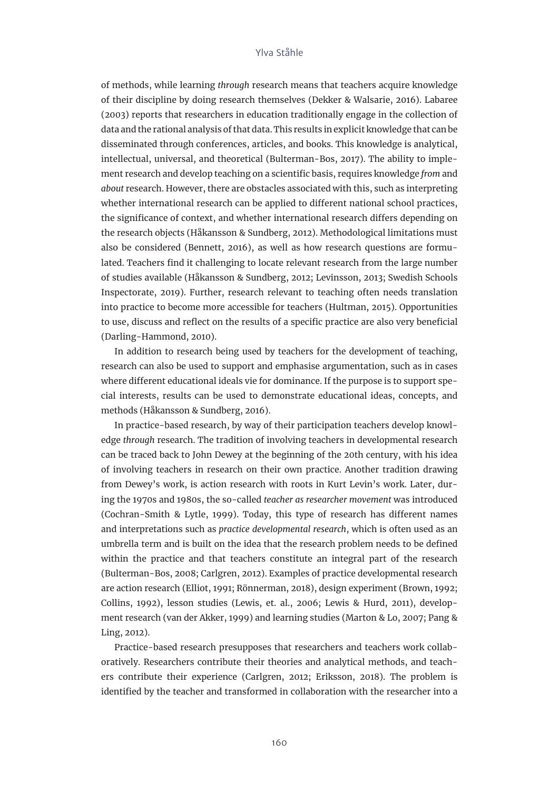of methods, while learning *through* research means that teachers acquire knowledge of their discipline by doing research themselves (Dekker & Walsarie, 2016). Labaree (2003) reports that researchers in education traditionally engage in the collection of data and the rational analysis of that data. This results in explicit knowledge that can be disseminated through conferences, articles, and books. This knowledge is analytical, intellectual, universal, and theoretical (Bulterman-Bos, 2017). The ability to implement research and develop teaching on a scientific basis, requires knowledge *from* and *about* research. However, there are obstacles associated with this, such as interpreting whether international research can be applied to different national school practices, the significance of context, and whether international research differs depending on the research objects (Håkansson & Sundberg, 2012). Methodological limitations must also be considered (Bennett, 2016), as well as how research questions are formulated. Teachers find it challenging to locate relevant research from the large number of studies available (Håkansson & Sundberg, 2012; Levinsson, 2013; Swedish Schools Inspectorate, 2019). Further, research relevant to teaching often needs translation into practice to become more accessible for teachers (Hultman, 2015). Opportunities to use, discuss and reflect on the results of a specific practice are also very beneficial (Darling-Hammond, 2010).

In addition to research being used by teachers for the development of teaching, research can also be used to support and emphasise argumentation, such as in cases where different educational ideals vie for dominance. If the purpose is to support special interests, results can be used to demonstrate educational ideas, concepts, and methods (Håkansson & Sundberg, 2016).

In practice-based research, by way of their participation teachers develop knowledge *through* research. The tradition of involving teachers in developmental research can be traced back to John Dewey at the beginning of the 20th century, with his idea of involving teachers in research on their own practice. Another tradition drawing from Dewey's work, is action research with roots in Kurt Levin's work. Later, during the 1970s and 1980s, the so-called *teacher as researcher movement* was introduced (Cochran-Smith & Lytle, 1999). Today, this type of research has different names and interpretations such as *practice developmental research*, which is often used as an umbrella term and is built on the idea that the research problem needs to be defined within the practice and that teachers constitute an integral part of the research (Bulterman-Bos, 2008; Carlgren, 2012). Examples of practice developmental research are action research (Elliot, 1991; Rönnerman, 2018), design experiment (Brown, 1992; Collins, 1992), lesson studies (Lewis, et. al., 2006; Lewis & Hurd, 2011), development research (van der Akker, 1999) and learning studies (Marton & Lo, 2007; Pang & Ling, 2012).

Practice-based research presupposes that researchers and teachers work collaboratively. Researchers contribute their theories and analytical methods, and teachers contribute their experience (Carlgren, 2012; Eriksson, 2018). The problem is identified by the teacher and transformed in collaboration with the researcher into a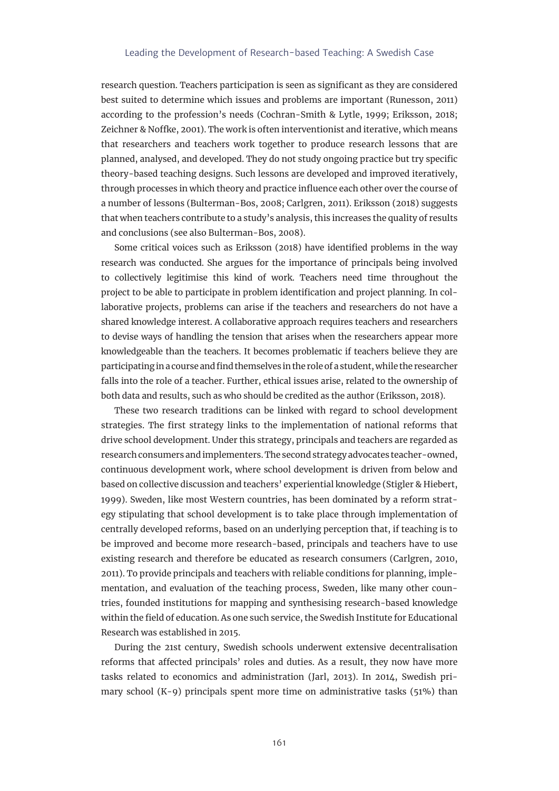research question. Teachers participation is seen as significant as they are considered best suited to determine which issues and problems are important (Runesson, 2011) according to the profession's needs (Cochran-Smith & Lytle, 1999; Eriksson, 2018; Zeichner & Noffke, 2001). The work is often interventionist and iterative, which means that researchers and teachers work together to produce research lessons that are planned, analysed, and developed. They do not study ongoing practice but try specific theory-based teaching designs. Such lessons are developed and improved iteratively, through processes in which theory and practice influence each other over the course of a number of lessons (Bulterman-Bos, 2008; Carlgren, 2011). Eriksson (2018) suggests that when teachers contribute to a study's analysis, this increases the quality of results and conclusions (see also Bulterman-Bos, 2008).

Some critical voices such as Eriksson (2018) have identified problems in the way research was conducted. She argues for the importance of principals being involved to collectively legitimise this kind of work. Teachers need time throughout the project to be able to participate in problem identification and project planning. In collaborative projects, problems can arise if the teachers and researchers do not have a shared knowledge interest. A collaborative approach requires teachers and researchers to devise ways of handling the tension that arises when the researchers appear more knowledgeable than the teachers. It becomes problematic if teachers believe they are participating in a course and find themselves in the role of a student, while the researcher falls into the role of a teacher. Further, ethical issues arise, related to the ownership of both data and results, such as who should be credited as the author (Eriksson, 2018).

These two research traditions can be linked with regard to school development strategies. The first strategy links to the implementation of national reforms that drive school development. Under this strategy, principals and teachers are regarded as research consumers and implementers. The second strategy advocates teacher-owned, continuous development work, where school development is driven from below and based on collective discussion and teachers' experiential knowledge (Stigler & Hiebert, 1999). Sweden, like most Western countries, has been dominated by a reform strategy stipulating that school development is to take place through implementation of centrally developed reforms, based on an underlying perception that, if teaching is to be improved and become more research-based, principals and teachers have to use existing research and therefore be educated as research consumers (Carlgren, 2010, 2011). To provide principals and teachers with reliable conditions for planning, implementation, and evaluation of the teaching process, Sweden, like many other countries, founded institutions for mapping and synthesising research-based knowledge within the field of education. As one such service, the Swedish Institute for Educational Research was established in 2015.

During the 21st century, Swedish schools underwent extensive decentralisation reforms that affected principals' roles and duties. As a result, they now have more tasks related to economics and administration (Jarl, 2013). In 2014, Swedish primary school  $(K-9)$  principals spent more time on administrative tasks  $(51%)$  than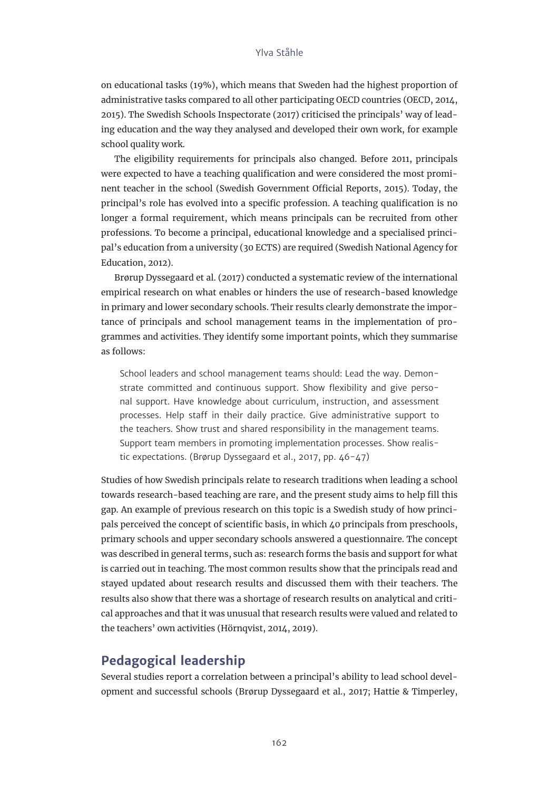on educational tasks (19%), which means that Sweden had the highest proportion of administrative tasks compared to all other participating OECD countries (OECD, 2014, 2015). The Swedish Schools Inspectorate (2017) criticised the principals' way of leading education and the way they analysed and developed their own work, for example school quality work.

The eligibility requirements for principals also changed. Before 2011, principals were expected to have a teaching qualification and were considered the most prominent teacher in the school (Swedish Government Official Reports, 2015). Today, the principal's role has evolved into a specific profession. A teaching qualification is no longer a formal requirement, which means principals can be recruited from other professions. To become a principal, educational knowledge and a specialised principal's education from a university (30 ECTS) are required (Swedish National Agency for Education, 2012).

Brørup Dyssegaard et al. (2017) conducted a systematic review of the international empirical research on what enables or hinders the use of research-based knowledge in primary and lower secondary schools. Their results clearly demonstrate the importance of principals and school management teams in the implementation of programmes and activities. They identify some important points, which they summarise as follows:

School leaders and school management teams should: Lead the way. Demonstrate committed and continuous support. Show flexibility and give personal support. Have knowledge about curriculum, instruction, and assessment processes. Help staff in their daily practice. Give administrative support to the teachers. Show trust and shared responsibility in the management teams. Support team members in promoting implementation processes. Show realistic expectations. (Brørup Dyssegaard et al., 2017, pp. 46-47)

Studies of how Swedish principals relate to research traditions when leading a school towards research-based teaching are rare, and the present study aims to help fill this gap. An example of previous research on this topic is a Swedish study of how principals perceived the concept of scientific basis, in which 40 principals from preschools, primary schools and upper secondary schools answered a questionnaire. The concept was described in general terms, such as: research forms the basis and support for what is carried out in teaching. The most common results show that the principals read and stayed updated about research results and discussed them with their teachers. The results also show that there was a shortage of research results on analytical and critical approaches and that it was unusual that research results were valued and related to the teachers' own activities (Hörnqvist, 2014, 2019).

# **Pedagogical leadership**

Several studies report a correlation between a principal's ability to lead school development and successful schools (Brørup Dyssegaard et al., 2017; Hattie & Timperley,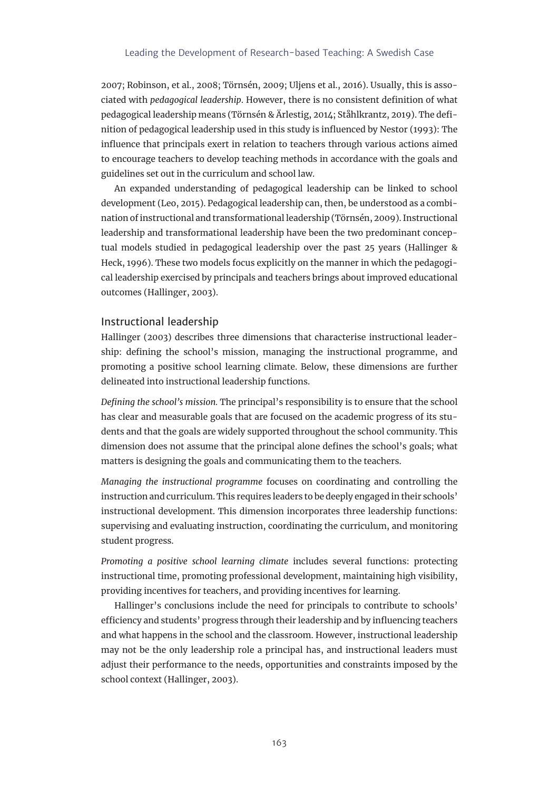2007; Robinson, et al., 2008; Törnsén, 2009; Uljens et al., 2016). Usually, this is associated with *pedagogical leadership*. However, there is no consistent definition of what pedagogical leadership means (Törnsén & Ärlestig, 2014; Ståhlkrantz, 2019). The definition of pedagogical leadership used in this study is influenced by Nestor (1993): The influence that principals exert in relation to teachers through various actions aimed to encourage teachers to develop teaching methods in accordance with the goals and guidelines set out in the curriculum and school law.

An expanded understanding of pedagogical leadership can be linked to school development (Leo, 2015). Pedagogical leadership can, then, be understood as a combination of instructional and transformational leadership (Törnsén, 2009). Instructional leadership and transformational leadership have been the two predominant conceptual models studied in pedagogical leadership over the past 25 years (Hallinger & Heck, 1996). These two models focus explicitly on the manner in which the pedagogical leadership exercised by principals and teachers brings about improved educational outcomes (Hallinger, 2003).

#### Instructional leadership

Hallinger (2003) describes three dimensions that characterise instructional leadership: defining the school's mission, managing the instructional programme, and promoting a positive school learning climate. Below, these dimensions are further delineated into instructional leadership functions.

*Defining the school's mission.* The principal's responsibility is to ensure that the school has clear and measurable goals that are focused on the academic progress of its students and that the goals are widely supported throughout the school community. This dimension does not assume that the principal alone defines the school's goals; what matters is designing the goals and communicating them to the teachers.

*Managing the instructional programme* focuses on coordinating and controlling the instruction and curriculum. This requires leaders to be deeply engaged in their schools' instructional development. This dimension incorporates three leadership functions: supervising and evaluating instruction, coordinating the curriculum, and monitoring student progress.

*Promoting a positive school learning climate* includes several functions: protecting instructional time, promoting professional development, maintaining high visibility, providing incentives for teachers, and providing incentives for learning.

Hallinger's conclusions include the need for principals to contribute to schools' efficiency and students' progress through their leadership and by influencing teachers and what happens in the school and the classroom. However, instructional leadership may not be the only leadership role a principal has, and instructional leaders must adjust their performance to the needs, opportunities and constraints imposed by the school context (Hallinger, 2003).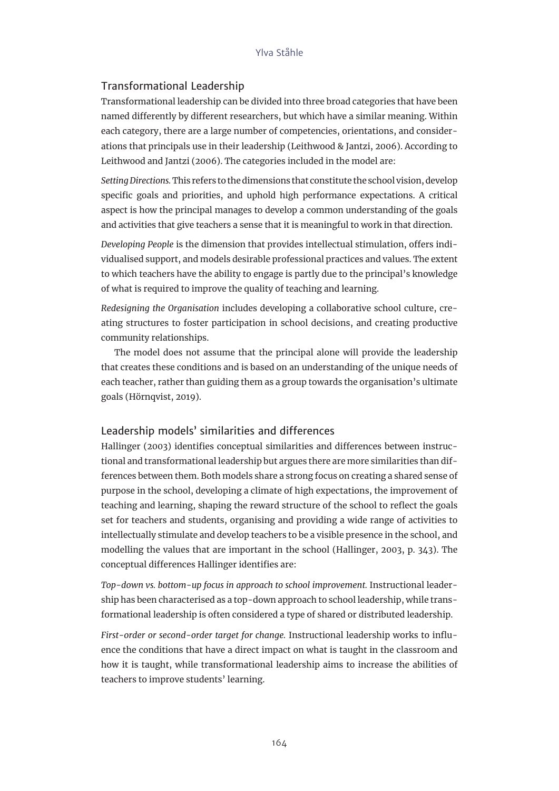# Transformational Leadership

Transformational leadership can be divided into three broad categories that have been named differently by different researchers, but which have a similar meaning. Within each category, there are a large number of competencies, orientations, and considerations that principals use in their leadership (Leithwood & Jantzi, 2006). According to Leithwood and Jantzi (2006). The categories included in the model are:

*Setting Directions.* This refers to the dimensions that constitute the school vision, develop specific goals and priorities, and uphold high performance expectations. A critical aspect is how the principal manages to develop a common understanding of the goals and activities that give teachers a sense that it is meaningful to work in that direction.

*Developing People* is the dimension that provides intellectual stimulation, offers individualised support, and models desirable professional practices and values. The extent to which teachers have the ability to engage is partly due to the principal's knowledge of what is required to improve the quality of teaching and learning.

*Redesigning the Organisation* includes developing a collaborative school culture, creating structures to foster participation in school decisions, and creating productive community relationships.

The model does not assume that the principal alone will provide the leadership that creates these conditions and is based on an understanding of the unique needs of each teacher, rather than guiding them as a group towards the organisation's ultimate goals (Hörnqvist, 2019).

# Leadership models' similarities and differences

Hallinger (2003) identifies conceptual similarities and differences between instructional and transformational leadership but argues there are more similarities than differences between them. Both models share a strong focus on creating a shared sense of purpose in the school, developing a climate of high expectations, the improvement of teaching and learning, shaping the reward structure of the school to reflect the goals set for teachers and students, organising and providing a wide range of activities to intellectually stimulate and develop teachers to be a visible presence in the school, and modelling the values that are important in the school (Hallinger, 2003, p. 343). The conceptual differences Hallinger identifies are:

*Top-down vs. bottom-up focus in approach to school improvement.* Instructional leadership has been characterised as a top-down approach to school leadership, while transformational leadership is often considered a type of shared or distributed leadership.

*First-order or second-order target for change.* Instructional leadership works to influence the conditions that have a direct impact on what is taught in the classroom and how it is taught, while transformational leadership aims to increase the abilities of teachers to improve students' learning.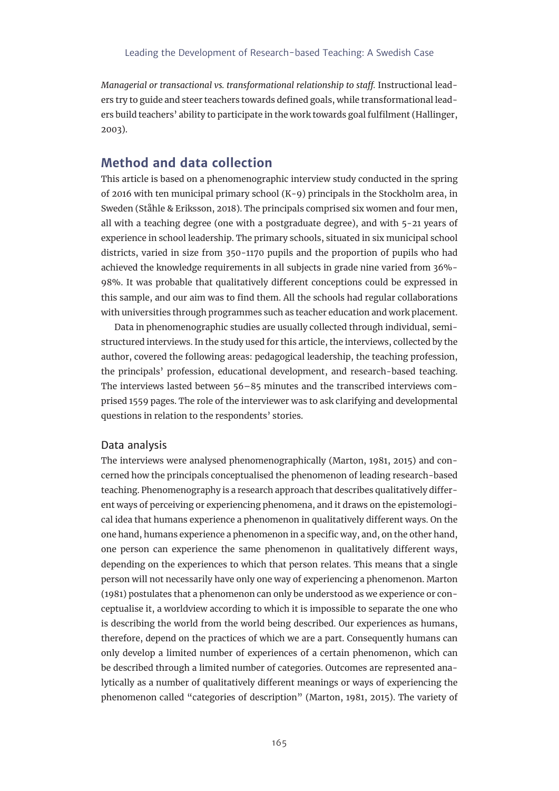*Managerial or transactional vs. transformational relationship to staff.* Instructional leaders try to guide and steer teachers towards defined goals, while transformational leaders build teachers' ability to participate in the work towards goal fulfilment (Hallinger, 2003).

# **Method and data collection**

This article is based on a phenomenographic interview study conducted in the spring of 2016 with ten municipal primary school (K-9) principals in the Stockholm area, in Sweden (Ståhle & Eriksson, 2018). The principals comprised six women and four men, all with a teaching degree (one with a postgraduate degree), and with 5-21 years of experience in school leadership. The primary schools, situated in six municipal school districts, varied in size from 350-1170 pupils and the proportion of pupils who had achieved the knowledge requirements in all subjects in grade nine varied from 36%- 98%. It was probable that qualitatively different conceptions could be expressed in this sample, and our aim was to find them. All the schools had regular collaborations with universities through programmes such as teacher education and work placement.

Data in phenomenographic studies are usually collected through individual, semistructured interviews. In the study used for this article, the interviews, collected by the author, covered the following areas: pedagogical leadership, the teaching profession, the principals' profession, educational development, and research-based teaching. The interviews lasted between 56–85 minutes and the transcribed interviews comprised 1559 pages. The role of the interviewer was to ask clarifying and developmental questions in relation to the respondents' stories.

#### Data analysis

The interviews were analysed phenomenographically (Marton, 1981, 2015) and concerned how the principals conceptualised the phenomenon of leading research-based teaching. Phenomenography is a research approach that describes qualitatively different ways of perceiving or experiencing phenomena, and it draws on the epistemological idea that humans experience a phenomenon in qualitatively different ways. On the one hand, humans experience a phenomenon in a specific way, and, on the other hand, one person can experience the same phenomenon in qualitatively different ways, depending on the experiences to which that person relates. This means that a single person will not necessarily have only one way of experiencing a phenomenon. Marton (1981) postulates that a phenomenon can only be understood as we experience or conceptualise it, a worldview according to which it is impossible to separate the one who is describing the world from the world being described. Our experiences as humans, therefore, depend on the practices of which we are a part. Consequently humans can only develop a limited number of experiences of a certain phenomenon, which can be described through a limited number of categories. Outcomes are represented analytically as a number of qualitatively different meanings or ways of experiencing the phenomenon called "categories of description" (Marton, 1981, 2015). The variety of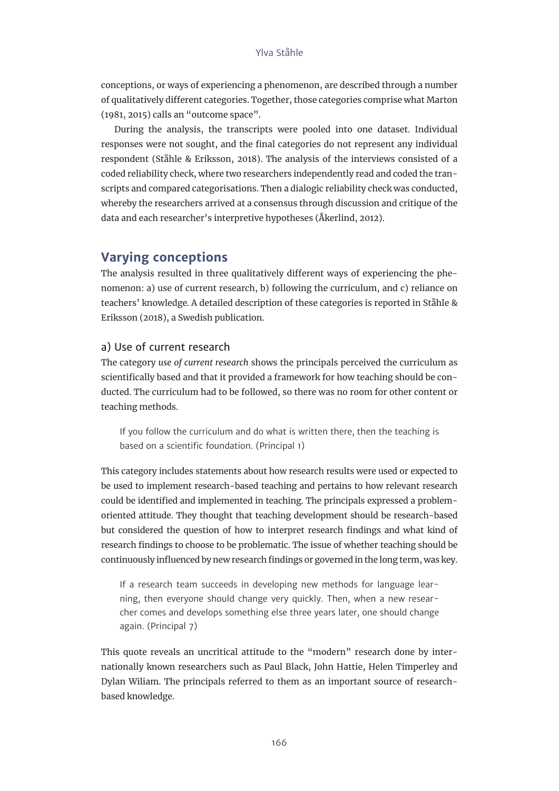conceptions, or ways of experiencing a phenomenon, are described through a number of qualitatively different categories. Together, those categories comprise what Marton (1981, 2015) calls an "outcome space".

During the analysis, the transcripts were pooled into one dataset. Individual responses were not sought, and the final categories do not represent any individual respondent (Ståhle & Eriksson, 2018). The analysis of the interviews consisted of a coded reliability check, where two researchers independently read and coded the transcripts and compared categorisations. Then a dialogic reliability check was conducted, whereby the researchers arrived at a consensus through discussion and critique of the data and each researcher's interpretive hypotheses (Åkerlind, 2012).

# **Varying conceptions**

The analysis resulted in three qualitatively different ways of experiencing the phenomenon: a) use of current research, b) following the curriculum, and c) reliance on teachers' knowledge*.* A detailed description of these categories is reported in Ståhle & Eriksson (2018), a Swedish publication.

# a) Use of current research

The category *use of current research* shows the principals perceived the curriculum as scientifically based and that it provided a framework for how teaching should be conducted. The curriculum had to be followed, so there was no room for other content or teaching methods.

If you follow the curriculum and do what is written there, then the teaching is based on a scientific foundation. (Principal 1)

This category includes statements about how research results were used or expected to be used to implement research-based teaching and pertains to how relevant research could be identified and implemented in teaching. The principals expressed a problemoriented attitude. They thought that teaching development should be research-based but considered the question of how to interpret research findings and what kind of research findings to choose to be problematic. The issue of whether teaching should be continuously influenced by new research findings or governed in the long term, was key.

If a research team succeeds in developing new methods for language learning, then everyone should change very quickly. Then, when a new researcher comes and develops something else three years later, one should change again. (Principal 7)

This quote reveals an uncritical attitude to the "modern" research done by internationally known researchers such as Paul Black, John Hattie, Helen Timperley and Dylan Wiliam. The principals referred to them as an important source of researchbased knowledge.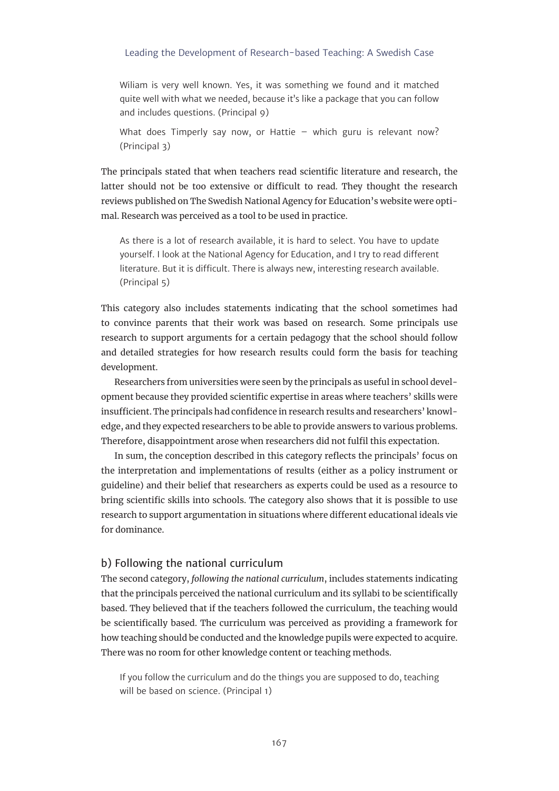Wiliam is very well known. Yes, it was something we found and it matched quite well with what we needed, because it's like a package that you can follow and includes questions. (Principal 9)

What does Timperly say now, or Hattie – which guru is relevant now? (Principal 3)

The principals stated that when teachers read scientific literature and research, the latter should not be too extensive or difficult to read. They thought the research reviews published on The Swedish National Agency for Education's website were optimal. Research was perceived as a tool to be used in practice.

As there is a lot of research available, it is hard to select. You have to update yourself. I look at the National Agency for Education, and I try to read different literature. But it is difficult. There is always new, interesting research available. (Principal 5)

This category also includes statements indicating that the school sometimes had to convince parents that their work was based on research. Some principals use research to support arguments for a certain pedagogy that the school should follow and detailed strategies for how research results could form the basis for teaching development.

Researchers from universities were seen by the principals as useful in school development because they provided scientific expertise in areas where teachers' skills were insufficient. The principals had confidence in research results and researchers' knowledge, and they expected researchers to be able to provide answers to various problems. Therefore, disappointment arose when researchers did not fulfil this expectation.

In sum, the conception described in this category reflects the principals' focus on the interpretation and implementations of results (either as a policy instrument or guideline) and their belief that researchers as experts could be used as a resource to bring scientific skills into schools. The category also shows that it is possible to use research to support argumentation in situations where different educational ideals vie for dominance.

#### b) Following the national curriculum

The second category, *following the national curriculum*, includes statements indicating that the principals perceived the national curriculum and its syllabi to be scientifically based. They believed that if the teachers followed the curriculum, the teaching would be scientifically based. The curriculum was perceived as providing a framework for how teaching should be conducted and the knowledge pupils were expected to acquire. There was no room for other knowledge content or teaching methods.

If you follow the curriculum and do the things you are supposed to do, teaching will be based on science. (Principal 1)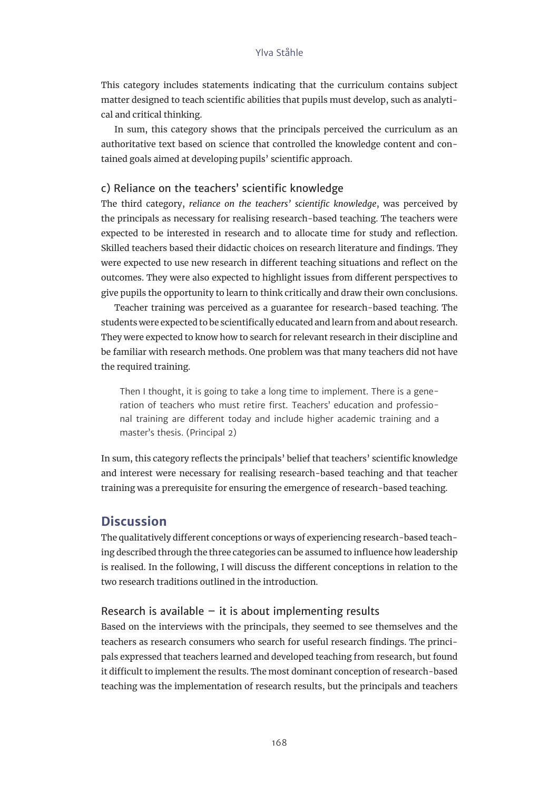This category includes statements indicating that the curriculum contains subject matter designed to teach scientific abilities that pupils must develop, such as analytical and critical thinking.

In sum, this category shows that the principals perceived the curriculum as an authoritative text based on science that controlled the knowledge content and contained goals aimed at developing pupils' scientific approach.

#### c) Reliance on the teachers' scientific knowledge

The third category, *reliance on the teachers' scientific knowledge*, was perceived by the principals as necessary for realising research-based teaching. The teachers were expected to be interested in research and to allocate time for study and reflection. Skilled teachers based their didactic choices on research literature and findings. They were expected to use new research in different teaching situations and reflect on the outcomes. They were also expected to highlight issues from different perspectives to give pupils the opportunity to learn to think critically and draw their own conclusions.

Teacher training was perceived as a guarantee for research-based teaching. The students were expected to be scientifically educated and learn from and about research. They were expected to know how to search for relevant research in their discipline and be familiar with research methods. One problem was that many teachers did not have the required training.

Then I thought, it is going to take a long time to implement. There is a generation of teachers who must retire first. Teachers' education and professional training are different today and include higher academic training and a master's thesis. (Principal 2)

In sum, this category reflects the principals' belief that teachers' scientific knowledge and interest were necessary for realising research-based teaching and that teacher training was a prerequisite for ensuring the emergence of research-based teaching.

# **Discussion**

The qualitatively different conceptions or ways of experiencing research-based teaching described through the three categories can be assumed to influence how leadership is realised. In the following, I will discuss the different conceptions in relation to the two research traditions outlined in the introduction.

#### Research is available  $-$  it is about implementing results

Based on the interviews with the principals, they seemed to see themselves and the teachers as research consumers who search for useful research findings. The principals expressed that teachers learned and developed teaching from research, but found it difficult to implement the results. The most dominant conception of research-based teaching was the implementation of research results, but the principals and teachers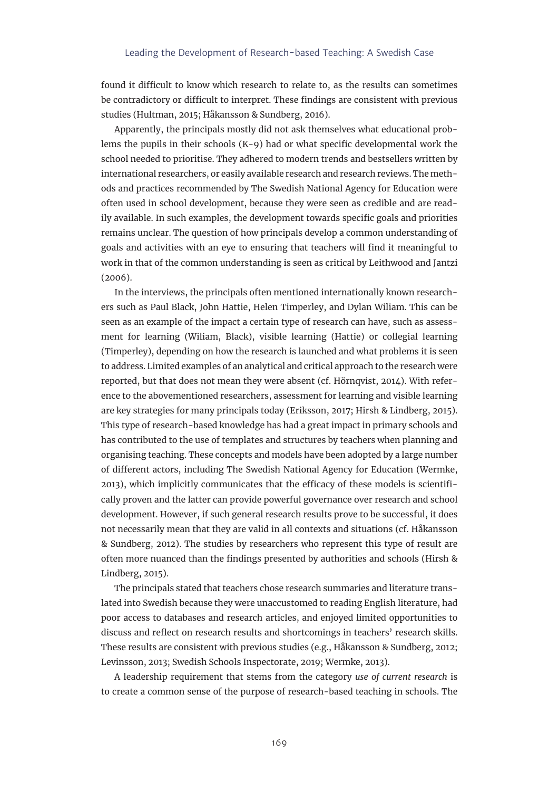found it difficult to know which research to relate to, as the results can sometimes be contradictory or difficult to interpret. These findings are consistent with previous studies (Hultman, 2015; Håkansson & Sundberg, 2016).

Apparently, the principals mostly did not ask themselves what educational problems the pupils in their schools (K-9) had or what specific developmental work the school needed to prioritise. They adhered to modern trends and bestsellers written by international researchers, or easily available research and research reviews. The methods and practices recommended by The Swedish National Agency for Education were often used in school development, because they were seen as credible and are readily available. In such examples, the development towards specific goals and priorities remains unclear. The question of how principals develop a common understanding of goals and activities with an eye to ensuring that teachers will find it meaningful to work in that of the common understanding is seen as critical by Leithwood and Jantzi  $(2006)$ .

In the interviews, the principals often mentioned internationally known researchers such as Paul Black, John Hattie, Helen Timperley, and Dylan Wiliam. This can be seen as an example of the impact a certain type of research can have, such as assessment for learning (Wiliam, Black), visible learning (Hattie) or collegial learning (Timperley), depending on how the research is launched and what problems it is seen to address. Limited examples of an analytical and critical approach to the research were reported, but that does not mean they were absent (cf. Hörnqvist, 2014). With reference to the abovementioned researchers, assessment for learning and visible learning are key strategies for many principals today (Eriksson, 2017; Hirsh & Lindberg, 2015). This type of research-based knowledge has had a great impact in primary schools and has contributed to the use of templates and structures by teachers when planning and organising teaching. These concepts and models have been adopted by a large number of different actors, including The Swedish National Agency for Education (Wermke, 2013), which implicitly communicates that the efficacy of these models is scientifically proven and the latter can provide powerful governance over research and school development. However, if such general research results prove to be successful, it does not necessarily mean that they are valid in all contexts and situations (cf. Håkansson & Sundberg, 2012). The studies by researchers who represent this type of result are often more nuanced than the findings presented by authorities and schools (Hirsh & Lindberg, 2015).

The principals stated that teachers chose research summaries and literature translated into Swedish because they were unaccustomed to reading English literature, had poor access to databases and research articles, and enjoyed limited opportunities to discuss and reflect on research results and shortcomings in teachers' research skills. These results are consistent with previous studies (e.g., Håkansson & Sundberg, 2012; Levinsson, 2013; Swedish Schools Inspectorate, 2019; Wermke, 2013).

A leadership requirement that stems from the category *use of current research* is to create a common sense of the purpose of research-based teaching in schools. The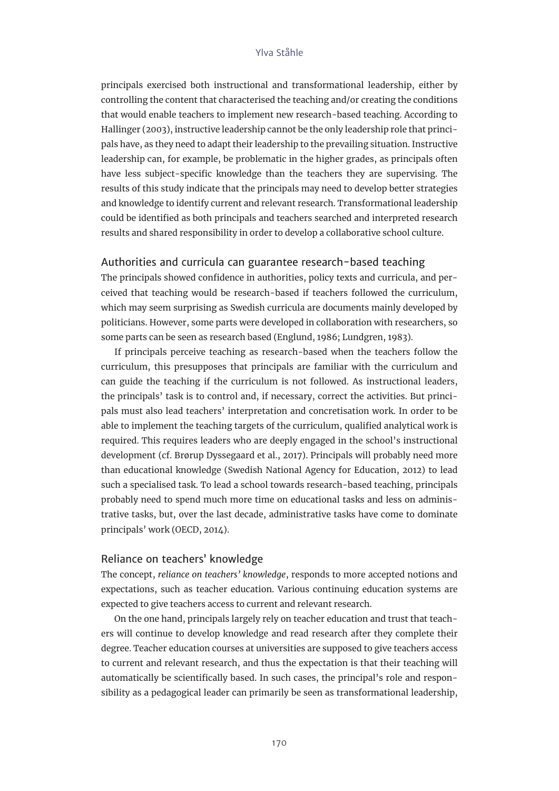principals exercised both instructional and transformational leadership, either by controlling the content that characterised the teaching and/or creating the conditions that would enable teachers to implement new research-based teaching. According to Hallinger (2003), instructive leadership cannot be the only leadership role that principals have, as they need to adapt their leadership to the prevailing situation. Instructive leadership can, for example, be problematic in the higher grades, as principals often have less subject-specific knowledge than the teachers they are supervising. The results of this study indicate that the principals may need to develop better strategies and knowledge to identify current and relevant research. Transformational leadership could be identified as both principals and teachers searched and interpreted research results and shared responsibility in order to develop a collaborative school culture.

## Authorities and curricula can guarantee research-based teaching

The principals showed confidence in authorities, policy texts and curricula, and perceived that teaching would be research-based if teachers followed the curriculum, which may seem surprising as Swedish curricula are documents mainly developed by politicians. However, some parts were developed in collaboration with researchers, so some parts can be seen as research based (Englund, 1986; Lundgren, 1983).

If principals perceive teaching as research-based when the teachers follow the curriculum, this presupposes that principals are familiar with the curriculum and can guide the teaching if the curriculum is not followed. As instructional leaders, the principals' task is to control and, if necessary, correct the activities. But principals must also lead teachers' interpretation and concretisation work. In order to be able to implement the teaching targets of the curriculum, qualified analytical work is required. This requires leaders who are deeply engaged in the school's instructional development (cf. Brørup Dyssegaard et al., 2017). Principals will probably need more than educational knowledge (Swedish National Agency for Education, 2012) to lead such a specialised task. To lead a school towards research-based teaching, principals probably need to spend much more time on educational tasks and less on administrative tasks, but, over the last decade, administrative tasks have come to dominate principals' work (OECD, 2014).

#### Reliance on teachers' knowledge

The concept, *reliance on teachers' knowledge*, responds to more accepted notions and expectations, such as teacher education. Various continuing education systems are expected to give teachers access to current and relevant research.

On the one hand, principals largely rely on teacher education and trust that teachers will continue to develop knowledge and read research after they complete their degree. Teacher education courses at universities are supposed to give teachers access to current and relevant research, and thus the expectation is that their teaching will automatically be scientifically based. In such cases, the principal's role and responsibility as a pedagogical leader can primarily be seen as transformational leadership,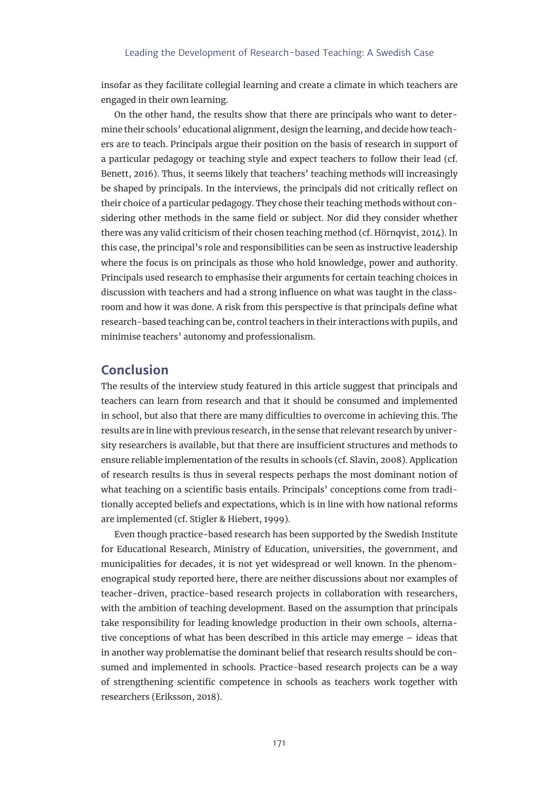insofar as they facilitate collegial learning and create a climate in which teachers are engaged in their own learning.

On the other hand, the results show that there are principals who want to determine their schools' educational alignment, design the learning, and decide how teachers are to teach. Principals argue their position on the basis of research in support of a particular pedagogy or teaching style and expect teachers to follow their lead (cf. Benett, 2016). Thus, it seems likely that teachers' teaching methods will increasingly be shaped by principals. In the interviews, the principals did not critically reflect on their choice of a particular pedagogy. They chose their teaching methods without considering other methods in the same field or subject. Nor did they consider whether there was any valid criticism of their chosen teaching method (cf. Hörnqvist, 2014). In this case, the principal's role and responsibilities can be seen as instructive leadership where the focus is on principals as those who hold knowledge, power and authority. Principals used research to emphasise their arguments for certain teaching choices in discussion with teachers and had a strong influence on what was taught in the classroom and how it was done. A risk from this perspective is that principals define what research-based teaching can be, control teachers in their interactions with pupils, and minimise teachers' autonomy and professionalism.

# **Conclusion**

The results of the interview study featured in this article suggest that principals and teachers can learn from research and that it should be consumed and implemented in school, but also that there are many difficulties to overcome in achieving this. The results are in line with previous research, in the sense that relevant research by university researchers is available, but that there are insufficient structures and methods to ensure reliable implementation of the results in schools (cf. Slavin, 2008). Application of research results is thus in several respects perhaps the most dominant notion of what teaching on a scientific basis entails. Principals' conceptions come from traditionally accepted beliefs and expectations*,* which is in line with how national reforms are implemented (cf. Stigler & Hiebert, 1999).

Even though practice-based research has been supported by the Swedish Institute for Educational Research, Ministry of Education, universities, the government, and municipalities for decades, it is not yet widespread or well known. In the phenomenograpical study reported here, there are neither discussions about nor examples of teacher-driven, practice-based research projects in collaboration with researchers, with the ambition of teaching development. Based on the assumption that principals take responsibility for leading knowledge production in their own schools, alternative conceptions of what has been described in this article may emerge – ideas that in another way problematise the dominant belief that research results should be consumed and implemented in schools. Practice-based research projects can be a way of strengthening scientific competence in schools as teachers work together with researchers (Eriksson, 2018).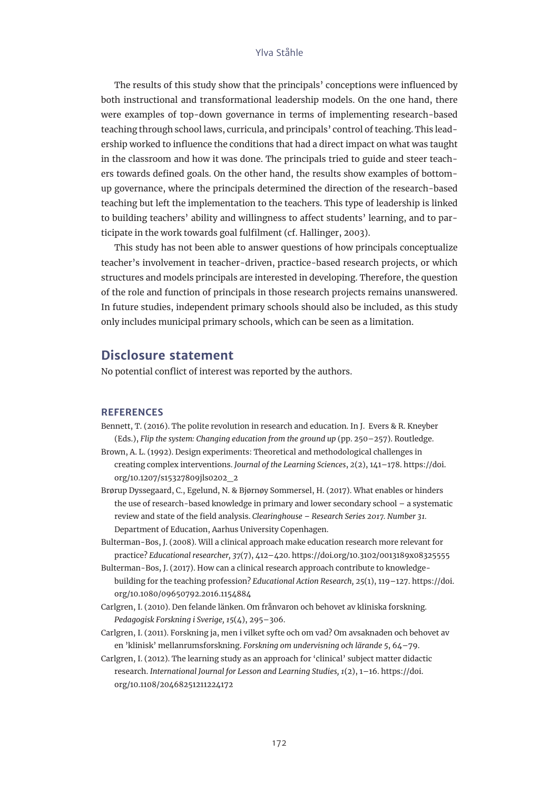The results of this study show that the principals' conceptions were influenced by both instructional and transformational leadership models. On the one hand, there were examples of top-down governance in terms of implementing research-based teaching through school laws, curricula, and principals' control of teaching. This leadership worked to influence the conditions that had a direct impact on what was taught in the classroom and how it was done. The principals tried to guide and steer teachers towards defined goals. On the other hand, the results show examples of bottomup governance, where the principals determined the direction of the research-based teaching but left the implementation to the teachers. This type of leadership is linked to building teachers' ability and willingness to affect students' learning, and to participate in the work towards goal fulfilment (cf. Hallinger, 2003).

This study has not been able to answer questions of how principals conceptualize teacher's involvement in teacher-driven, practice-based research projects, or which structures and models principals are interested in developing. Therefore, the question of the role and function of principals in those research projects remains unanswered. In future studies, independent primary schools should also be included, as this study only includes municipal primary schools, which can be seen as a limitation.

# **Disclosure statement**

No potential conflict of interest was reported by the authors.

#### **REFERENCES**

- Bennett, T. (2016). The polite revolution in research and education. In J. Evers & R. Kneyber (Eds.), *Flip the system: Changing education from the ground up* (pp. 250–257). Routledge.
- Brown, A. L. (1992). Design experiments: Theoretical and methodological challenges in creating complex interventions. *Journal of the Learning Sciences*, *2*(2), 141–178. [https://doi.](https://doi.org/10.1207/s15327809jls0202_2) [org/10.1207/s15327809jls0202\\_2](https://doi.org/10.1207/s15327809jls0202_2)
- Brørup Dyssegaard, C., Egelund, N. & Bjørnøy Sommersel, H. (2017). What enables or hinders the use of research-based knowledge in primary and lower secondary school – a systematic review and state of the field analysis. *Clearinghouse – Research Series 2017. Number 31.*  Department of Education, Aarhus University Copenhagen.
- Bulterman-Bos, J. (2008). Will a clinical approach make education research more relevant for practice? *Educational researcher, 37*(7), 412–420[. https://doi.org/10.3102/0013189x08325555](file:https://doi.org/10.3102/0013189x08325555)
- Bulterman-Bos, J. (2017). How can a clinical research approach contribute to knowledgebuilding for the teaching profession? *Educational Action Research, 25*(1), 119–127. [https://doi.](file:https://doi.org/10.1080/09650792.2016.1154884) [org/10.1080/09650792.2016.1154884](file:https://doi.org/10.1080/09650792.2016.1154884)
- Carlgren, I. (2010). Den felande länken. Om frånvaron och behovet av kliniska forskning. *Pedagogisk Forskning i Sverige, 15*(4), 295–306.
- Carlgren, I. (2011). Forskning ja, men i vilket syfte och om vad? Om avsaknaden och behovet av en 'klinisk' mellanrumsforskning. *Forskning om undervisning och lärande 5*, 64–79.
- Carlgren, I. (2012). The learning study as an approach for 'clinical' subject matter didactic research. *International Journal for Lesson and Learning Studies, 1*(2), 1–16. [https://doi.](https://doi.org/10.1108/20468251211224172) [org/10.1108/20468251211224172](https://doi.org/10.1108/20468251211224172)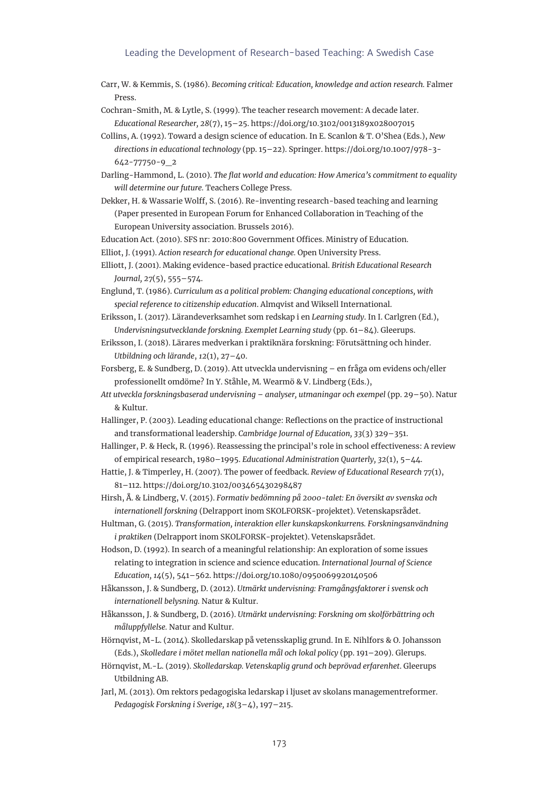#### Leading the Development of Research-based Teaching: A Swedish Case

- Carr, W. & Kemmis, S. (1986). *Becoming critical: Education, knowledge and action research.* Falmer Press.
- Cochran-Smith, M. & Lytle, S. (1999). The teacher research movement: A decade later. *Educational Researcher, 28*(7), 15–25.<https://doi.org/10.3102/0013189x028007015>
- Collins, A. (1992). Toward a design science of education. In E. Scanlon & T. O'Shea (Eds.), *New directions in educational technology* (pp. 15–22). Springer. [https://doi.org/10.1007/978-3-](https://doi.org/10.1007/978-3-642-77750-9_2) [642-77750-9\\_2](https://doi.org/10.1007/978-3-642-77750-9_2)
- Darling-Hammond, L. (2010). *The flat world and education: How America's commitment to equality will determine our future.* Teachers College Press.
- Dekker, H. & Wassarie Wolff, S. (2016). Re-inventing research-based teaching and learning (Paper presented in European Forum for Enhanced Collaboration in Teaching of the European University association. Brussels 2016).
- Education Act. (2010). SFS nr: 2010:800 Government Offices. Ministry of Education.
- Elliot, J. (1991). *Action research for educational change.* Open University Press.
- Elliott, J. (2001). Making evidence-based practice educational. *British Educational Research Journal, 27*(5), 555–574.
- Englund, T. (1986). *Curriculum as a political problem: Changing educational conceptions, with special reference to citizenship education*. Almqvist and Wiksell International.
- Eriksson, I. (2017). Lärandeverksamhet som redskap i en *Learning study*. In I. Carlgren (Ed.), *Undervisningsutvecklande forskning. Exemplet Learning study* (pp. 61–84). Gleerups.
- Eriksson, I. (2018). Lärares medverkan i praktiknära forskning: Förutsättning och hinder. *Utbildning och lärande*, *12*(1), 27–40.
- Forsberg, E. & Sundberg, D. (2019). Att utveckla undervisning en fråga om evidens och/eller professionellt omdöme? In Y. Ståhle, M. Wearmö & V. Lindberg (Eds.),
- *Att utveckla forskningsbaserad undervisning analyser, utmaningar och exempel* (pp. 29–50). Natur & Kultur.
- Hallinger, P. (2003). Leading educational change: Reflections on the practice of instructional and transformational leadership. *Cambridge Journal of Education, 33*(3) 329–351.
- Hallinger, P. & Heck, R. (1996). Reassessing the principal's role in school effectiveness: A review of empirical research, 1980–1995. *Educational Administration Quarterly, 32*(1), 5–44.
- Hattie, J. & Timperley, H. (2007). The power of feedback. *Review of Educational Research 77*(1), 81–112. <https://doi.org/10.3102/003465430298487>
- Hirsh, Å. & Lindberg, V. (2015). *Formativ bedömning på 2000-talet: En översikt av svenska och internationell forskning* (Delrapport inom SKOLFORSK-projektet). Vetenskapsrådet.
- Hultman, G. (2015). *Transformation, interaktion eller kunskapskonkurrens. Forskningsanvändning i praktiken* (Delrapport inom SKOLFORSK-projektet). Vetenskapsrådet.
- Hodson, D. (1992). In search of a meaningful relationship: An exploration of some issues relating to integration in science and science education. *International Journal of Science Education, 14*(5), 541–562.<https://doi.org/10.1080/0950069920140506>
- Håkansson, J. & Sundberg, D. (2012). *Utmärkt undervisning: Framgångsfaktorer i svensk och internationell belysning.* Natur & Kultur.
- Håkansson, J. & Sundberg, D. (2016). *Utmärkt undervisning: Forskning om skolförbättring och måluppfyllelse.* Natur and Kultur.
- Hörnqvist, M-L. (2014). Skolledarskap på vetensskaplig grund. In E. Nihlfors & O. Johansson (Eds.), *Skolledare i mötet mellan nationella mål och lokal policy* (pp. 191–209). Glerups.
- Hörnqvist, M.-L. (2019). *Skolledarskap. Vetenskaplig grund och beprövad erfarenhet*. Gleerups Utbildning AB.
- Jarl, M. (2013). Om rektors pedagogiska ledarskap i ljuset av skolans managementreformer. *Pedagogisk Forskning i Sverige, 18*(3–4), 197–215.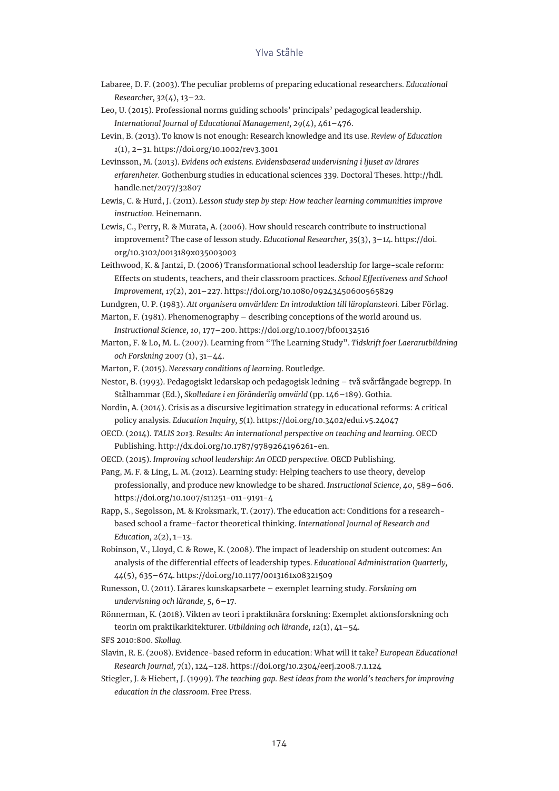- Labaree, D. F. (2003). The peculiar problems of preparing educational researchers. *Educational Researcher, 32*(4), 13–22.
- Leo, U. (2015). Professional norms guiding schools' principals' pedagogical leadership. *International Journal of Educational Management, 29*(4), 461–476.
- Levin, B. (2013). To know is not enough: Research knowledge and its use. *Review of Education 1*(1), 2–31. https://doi.org/10.1002/rev3.3001
- Levinsson, M. (2013). *Evidens och existens. Evidensbaserad undervisning i ljuset av lärares erfarenheter.* Gothenburg studies in educational sciences 339. Doctoral Theses. [http://hdl.](http://hdl.handle.net/2077/32807) [handle.net/2077/32807](http://hdl.handle.net/2077/32807)
- Lewis, C. & Hurd, J. (2011). *Lesson study step by step: How teacher learning communities improve instruction.* Heinemann.
- Lewis, C., Perry, R. & Murata, A. (2006). How should research contribute to instructional improvement? The case of lesson study. *Educational Researcher, 35*(3), 3–14. [https://doi.](https://doi.org/10.3102/0013189x035003003) [org/10.3102/0013189x035003003](https://doi.org/10.3102/0013189x035003003)
- Leithwood, K. & Jantzi, D. (2006) Transformational school leadership for large-scale reform: Effects on students, teachers, and their classroom practices. *School Effectiveness and School Improvement, 17*(2), 201–227. https://doi.org/10.1080/09243450600565829

Lundgren, U. P. (1983). *Att organisera omvärlden: En introduktion till läroplansteori.* Liber Förlag.

- Marton, F. (1981). Phenomenography describing conceptions of the world around us. *Instructional Science, 10*, 177–200. https://doi.org/10.1007/bf00132516
- Marton, F. & Lo, M. L. (2007). Learning from "The Learning Study". *Tidskrift foer Laerarutbildning och Forskning* 2007 (1), 31–44.
- Marton, F. (2015). *Necessary conditions of learning*. Routledge.
- Nestor, B. (1993). Pedagogiskt ledarskap och pedagogisk ledning två svårfångade begrepp. In Stålhammar (Ed.), *Skolledare i en föränderlig omvärld* (pp. 146–189). Gothia.
- Nordin, A. (2014). Crisis as a discursive legitimation strategy in educational reforms: A critical policy analysis. *Education Inquiry, 5*(1). https://doi.org[/10.3402/edui.v5.24047](https://doi.org/10.3402/edui.v5.24047)
- OECD. (2014). *TALIS 2013. Results: An international perspective on teaching and learning.* OECD Publishing.<http://dx.doi.org/10.1787/9789264196261-en>.
- OECD. (2015). *Improving school leadership: An OECD perspective.* OECD Publishing.
- Pang, M. F. & Ling, L. M. (2012). Learning study: Helping teachers to use theory, develop professionally, and produce new knowledge to be shared. *Instructional Science, 40*, 589–606. <https://doi.org/10.1007/s11251-011-9191-4>
- Rapp, S., Segolsson, M. & Kroksmark, T. (2017). The education act: Conditions for a researchbased school a frame-factor theoretical thinking. *International Journal of Research and Education, 2*(2), 1–13.
- Robinson, V., Lloyd, C. & Rowe, K. (2008). The impact of leadership on student outcomes: An analysis of the differential effects of leadership types. *Educational Administration Quarterly, 44*(5), 635–674. https://doi.org/10.1177/0013161x08321509
- Runesson, U. (2011). Lärares kunskapsarbete exemplet learning study. *Forskning om undervisning och lärande, 5*, 6–17.
- Rönnerman, K. (2018). Vikten av teori i praktiknära forskning: Exemplet aktionsforskning och teorin om praktikarkitekturer. *Utbildning och lärande, 12*(1), 41–54. SFS 2010:800. *Skollag.*
- Slavin, R. E. (2008). Evidence-based reform in education: What will it take? *European Educational Research Journal, 7*(1), 124–128. https://doi.org/10.2304/eerj.2008.7.1.124
- Stiegler, J. & Hiebert, J. (1999). *The teaching gap. Best ideas from the world's teachers for improving education in the classroom.* Free Press.